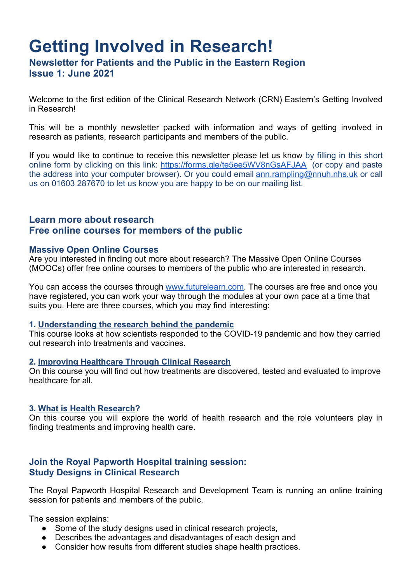# **Getting Involved in Research!**

**Newsletter for Patients and the Public in the Eastern Region Issue 1: June 2021**

Welcome to the first edition of the Clinical Research Network (CRN) Eastern's Getting Involved in Research!

This will be a monthly newsletter packed with information and ways of getting involved in research as patients, research participants and members of the public.

If you would like to continue to receive this newsletter please let us know by filling in this short online form by clicking on this link: https://forms.gle/te5ee5WV8nGsAFJAA (or copy and paste the address into your computer browser). Or you could email ann.rampling@nnuh.nhs.uk or call us on 01603 287670 to let us know you are happy to be on our mailing list.

## **Learn more about research Free online courses for members of the public**

## **Massive Open Online Courses**

Are you interested in finding out more about research? The Massive Open Online Courses (MOOCs) offer free online courses to members of the public who are interested in research.

You can access the courses through www.futurelearn.com. The courses are free and once you have registered, you can work your way through the modules at your own pace at a time that suits you. Here are three courses, which you may find interesting:

#### **1. Understanding the research behind the pandemic**

This course looks at how scientists responded to the COVID-19 pandemic and how they carried out research into treatments and vaccines.

#### **2. Improving Healthcare Through Clinical Research**

On this course you will find out how treatments are discovered, tested and evaluated to improve healthcare for all.

#### **3. What is Health Research?**

On this course you will explore the world of health research and the role volunteers play in finding treatments and improving health care.

## **Join the Royal Papworth Hospital training session: Study Designs in Clinical Research**

The Royal Papworth Hospital Research and Development Team is running an online training session for patients and members of the public.

The session explains:

- Some of the study designs used in clinical research projects,
- Describes the advantages and disadvantages of each design and
- Consider how results from different studies shape health practices.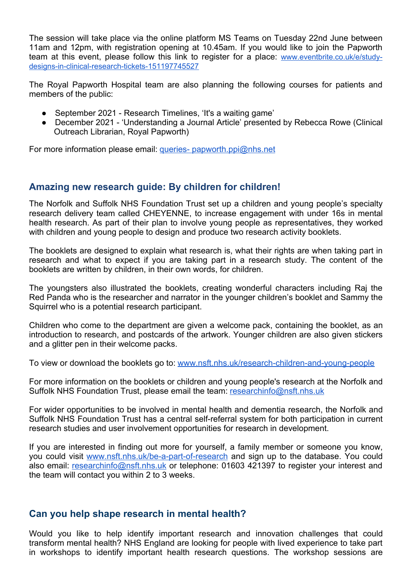The session will take place via the online platform MS Teams on Tuesday 22nd June between 11am and 12pm, with registration opening at 10.45am. If you would like to join the Papworth team at this event, please follow this link to register for a place: www.eventbrite.co.uk/e/studydesigns-in-clinical-research-tickets-151197745527

The Royal Papworth Hospital team are also planning the following courses for patients and members of the public:

- September 2021 Research Timelines, 'It's a waiting game'
- December 2021 'Understanding a Journal Article' presented by Rebecca Rowe (Clinical Outreach Librarian, Royal Papworth)

For more information please email: queries- papworth.ppi@nhs.net

## **Amazing new research guide: By children for children!**

The Norfolk and Suffolk NHS Foundation Trust set up a children and young people's specialty research delivery team called CHEYENNE, to increase engagement with under 16s in mental health research. As part of their plan to involve young people as representatives, they worked with children and young people to design and produce two research activity booklets.

The booklets are designed to explain what research is, what their rights are when taking part in research and what to expect if you are taking part in a research study. The content of the booklets are written by children, in their own words, for children.

The youngsters also illustrated the booklets, creating wonderful characters including Raj the Red Panda who is the researcher and narrator in the younger children's booklet and Sammy the Squirrel who is a potential research participant.

Children who come to the department are given a welcome pack, containing the booklet, as an introduction to research, and postcards of the artwork. Younger children are also given stickers and a glitter pen in their welcome packs.

To view or download the booklets go to: www.nsft.nhs.uk/research-children-and-young-people

For more information on the booklets or children and young people's research at the Norfolk and Suffolk NHS Foundation Trust, please email the team: researchinfo@nsft.nhs.uk

For wider opportunities to be involved in mental health and dementia research, the Norfolk and Suffolk NHS Foundation Trust has a central self-referral system for both participation in current research studies and user involvement opportunities for research in development.

If you are interested in finding out more for yourself, a family member or someone you know, you could visit www.nsft.nhs.uk/be-a-part-of-research and sign up to the database. You could also email: researchinfo@nsft.nhs.uk or telephone: 01603 421397 to register your interest and the team will contact you within 2 to 3 weeks.

## **Can you help shape research in mental health?**

Would you like to help identify important research and innovation challenges that could transform mental health? NHS England are looking for people with lived experience to take part in workshops to identify important health research questions. The workshop sessions are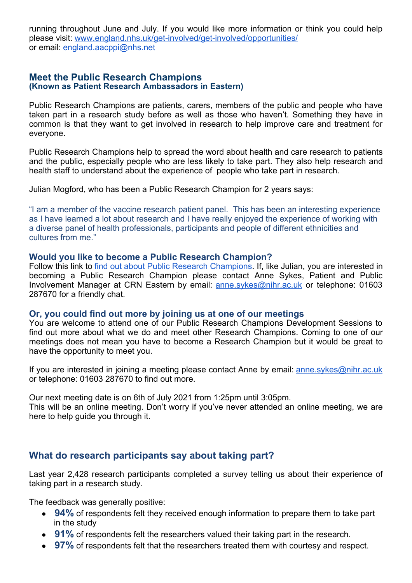running throughout June and July. If you would like more information or think you could help please visit: www.england.nhs.uk/get-involved/get-involved/opportunities/ or email: england.aacppi@nhs.net

### **Meet the Public Research Champions (Known as Patient Research Ambassadors in Eastern)**

Public Research Champions are patients, carers, members of the public and people who have taken part in a research study before as well as those who haven't. Something they have in common is that they want to get involved in research to help improve care and treatment for everyone.

Public Research Champions help to spread the word about health and care research to patients and the public, especially people who are less likely to take part. They also help research and health staff to understand about the experience of people who take part in research.

Julian Mogford, who has been a Public Research Champion for 2 years says:

"I am a member of the vaccine research patient panel. This has been an interesting experience as I have learned a lot about research and I have really enjoyed the experience of working with a diverse panel of health professionals, participants and people of different ethnicities and cultures from me."

#### **Would you like to become a Public Research Champion?**

Follow this link to find out about Public Research Champions. If, like Julian, you are interested in becoming a Public Research Champion please contact Anne Sykes, Patient and Public Involvement Manager at CRN Eastern by email: anne.sykes@nihr.ac.uk or telephone: 01603 287670 for a friendly chat.

#### **Or, you could find out more by joining us at one of our meetings**

You are welcome to attend one of our Public Research Champions Development Sessions to find out more about what we do and meet other Research Champions. Coming to one of our meetings does not mean you have to become a Research Champion but it would be great to have the opportunity to meet you.

If you are interested in joining a meeting please contact Anne by email: anne.sykes@nihr.ac.uk or telephone: 01603 287670 to find out more.

Our next meeting date is on 6th of July 2021 from 1:25pm until 3:05pm.

This will be an online meeting. Don't worry if you've never attended an online meeting, we are here to help guide you through it.

## **What do research participants say about taking part?**

Last year 2,428 research participants completed a survey telling us about their experience of taking part in a research study.

The feedback was generally positive:

- 94% of respondents felt they received enough information to prepare them to take part in the study
- **91%** of respondents felt the researchers valued their taking part in the research.
- 97% of respondents felt that the researchers treated them with courtesy and respect.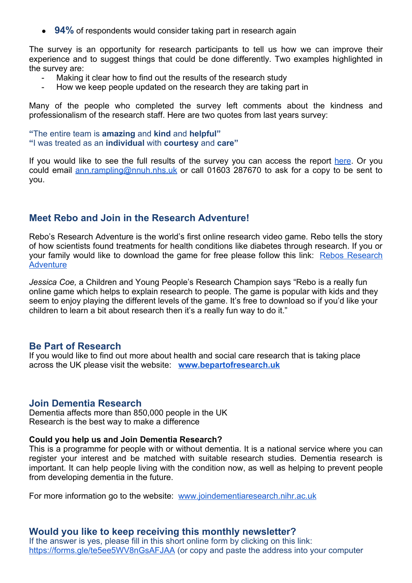• 94% of respondents would consider taking part in research again

The survey is an opportunity for research participants to tell us how we can improve their experience and to suggest things that could be done differently. Two examples highlighted in the survey are:

- Making it clear how to find out the results of the research study
- How we keep people updated on the research they are taking part in

Many of the people who completed the survey left comments about the kindness and professionalism of the research staff. Here are two quotes from last years survey:

**"**The entire team is **amazing** and **kind** and **helpful" "**I was treated as an **individual** with **courtesy** and **care"**

If you would like to see the full results of the survey you can access the report here. Or you could email ann.rampling@nnuh.nhs.uk or call 01603 287670 to ask for a copy to be sent to you.

## **Meet Rebo and Join in the Research Adventure!**

Rebo's Research Adventure is the world's first online research video game. Rebo tells the story of how scientists found treatments for health conditions like diabetes through research. If you or your family would like to download the game for free please follow this link: Rebos Research **Adventure** 

*Jessica Coe,* a Children and Young People's Research Champion says "Rebo is a really fun online game which helps to explain research to people. The game is popular with kids and they seem to enjoy playing the different levels of the game. It's free to download so if you'd like your children to learn a bit about research then it's a really fun way to do it."

#### **Be Part of Research**

If you would like to find out more about health and social care research that is taking place across the UK please visit the website: **www.bepartofresearch.uk**

#### **Join Dementia Research**

Dementia affects more than 850,000 people in the UK Research is the best way to make a difference

#### **Could you help us and Join Dementia Research?**

This is a programme for people with or without dementia. It is a national service where you can register your interest and be matched with suitable research studies. Dementia research is important. It can help people living with the condition now, as well as helping to prevent people from developing dementia in the future.

For more information go to the website: www.joindementiaresearch.nihr.ac.uk

## **Would you like to keep receiving this monthly newsletter?**

If the answer is yes, please fill in this short online form by clicking on this link: https://forms.gle/te5ee5WV8nGsAFJAA (or copy and paste the address into your computer